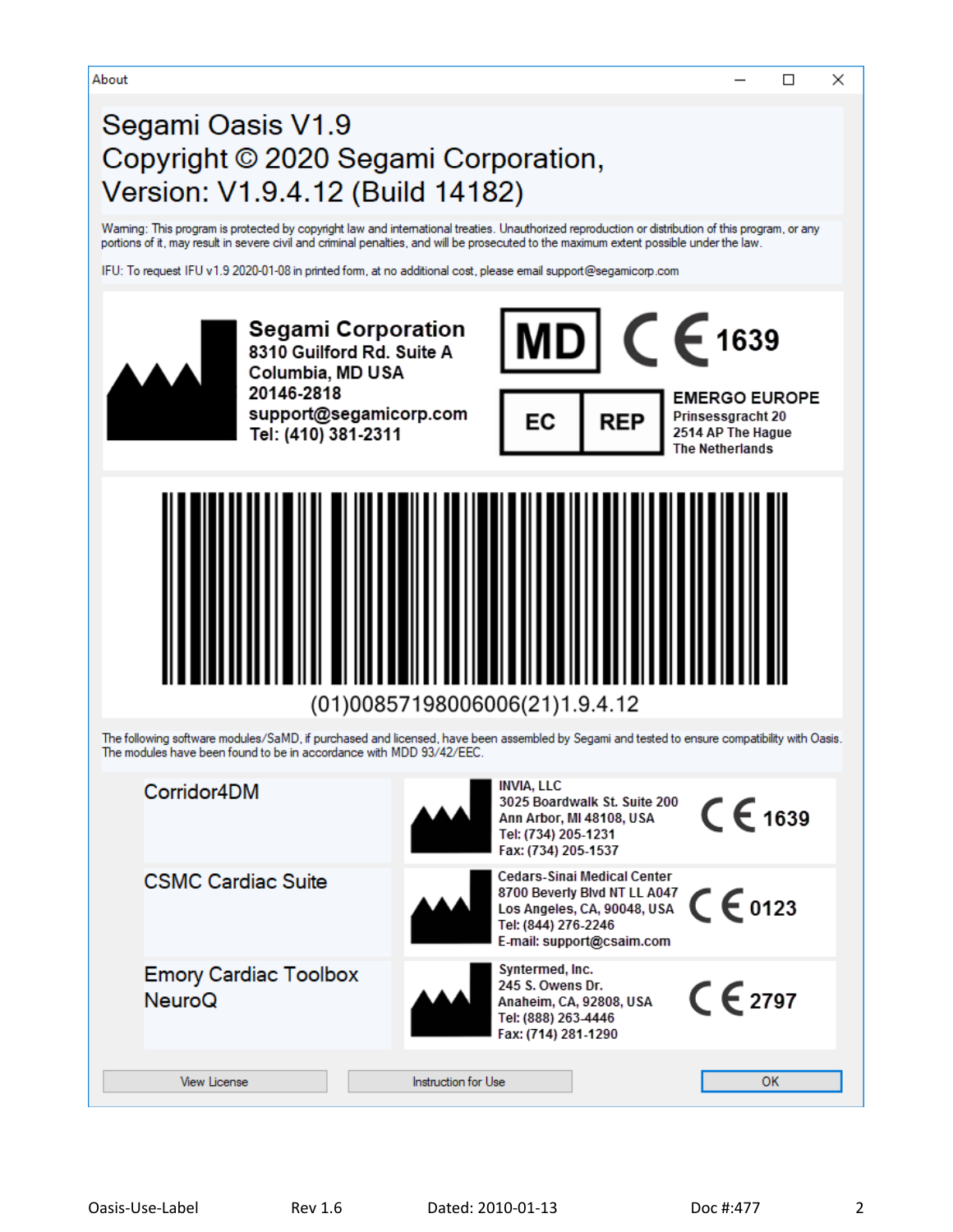About

# Segami Oasis V1.9 Copyright © 2020 Segami Corporation, Version: V1.9.4.12 (Build 14182)

Waming: This program is protected by copyright law and international treaties. Unauthorized reproduction or distribution of this program, or any portions of it, may result in severe civil and criminal penalties, and will be prosecuted to the maximum extent possible under the law.

IFU: To request IFU v1.9 2020-01-08 in printed form, at no additional cost, please email support@segamicorp.com



 $\Box$ 

 $\times$